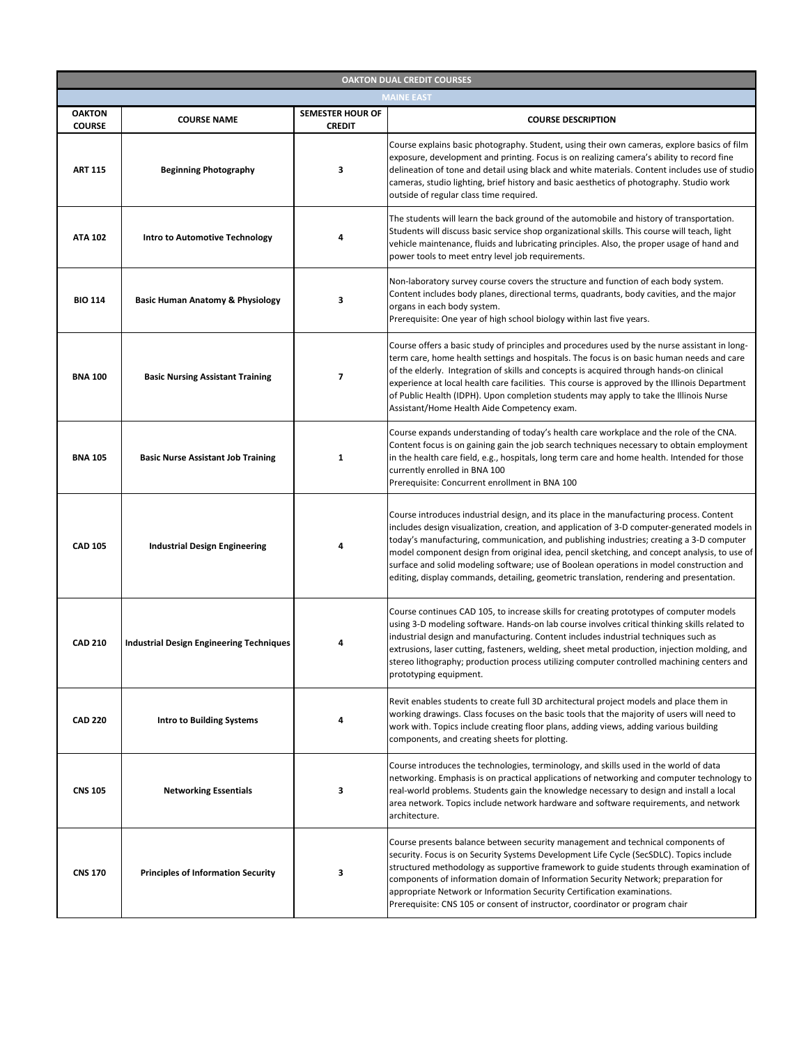| <b>OAKTON DUAL CREDIT COURSES</b> |                                                 |                                          |                                                                                                                                                                                                                                                                                                                                                                                                                                                                                                                                                                              |  |
|-----------------------------------|-------------------------------------------------|------------------------------------------|------------------------------------------------------------------------------------------------------------------------------------------------------------------------------------------------------------------------------------------------------------------------------------------------------------------------------------------------------------------------------------------------------------------------------------------------------------------------------------------------------------------------------------------------------------------------------|--|
|                                   |                                                 |                                          | <b>MAINE EAST</b>                                                                                                                                                                                                                                                                                                                                                                                                                                                                                                                                                            |  |
| <b>OAKTON</b><br><b>COURSE</b>    | <b>COURSE NAME</b>                              | <b>SEMESTER HOUR OF</b><br><b>CREDIT</b> | <b>COURSE DESCRIPTION</b>                                                                                                                                                                                                                                                                                                                                                                                                                                                                                                                                                    |  |
| <b>ART 115</b>                    | <b>Beginning Photography</b>                    | 3                                        | Course explains basic photography. Student, using their own cameras, explore basics of film<br>exposure, development and printing. Focus is on realizing camera's ability to record fine<br>delineation of tone and detail using black and white materials. Content includes use of studio<br>cameras, studio lighting, brief history and basic aesthetics of photography. Studio work<br>outside of regular class time required.                                                                                                                                            |  |
| <b>ATA 102</b>                    | <b>Intro to Automotive Technology</b>           | 4                                        | The students will learn the back ground of the automobile and history of transportation.<br>Students will discuss basic service shop organizational skills. This course will teach, light<br>vehicle maintenance, fluids and lubricating principles. Also, the proper usage of hand and<br>power tools to meet entry level job requirements.                                                                                                                                                                                                                                 |  |
| <b>BIO 114</b>                    | <b>Basic Human Anatomy &amp; Physiology</b>     | 3                                        | Non-laboratory survey course covers the structure and function of each body system.<br>Content includes body planes, directional terms, quadrants, body cavities, and the major<br>organs in each body system.<br>Prerequisite: One year of high school biology within last five years.                                                                                                                                                                                                                                                                                      |  |
| <b>BNA 100</b>                    | <b>Basic Nursing Assistant Training</b>         | 7                                        | Course offers a basic study of principles and procedures used by the nurse assistant in long-<br>term care, home health settings and hospitals. The focus is on basic human needs and care<br>of the elderly. Integration of skills and concepts is acquired through hands-on clinical<br>experience at local health care facilities. This course is approved by the Illinois Department<br>of Public Health (IDPH). Upon completion students may apply to take the Illinois Nurse<br>Assistant/Home Health Aide Competency exam.                                            |  |
| <b>BNA 105</b>                    | <b>Basic Nurse Assistant Job Training</b>       | 1                                        | Course expands understanding of today's health care workplace and the role of the CNA.<br>Content focus is on gaining gain the job search techniques necessary to obtain employment<br>in the health care field, e.g., hospitals, long term care and home health. Intended for those<br>currently enrolled in BNA 100<br>Prerequisite: Concurrent enrollment in BNA 100                                                                                                                                                                                                      |  |
| <b>CAD 105</b>                    | <b>Industrial Design Engineering</b>            | 4                                        | Course introduces industrial design, and its place in the manufacturing process. Content<br>includes design visualization, creation, and application of 3-D computer-generated models in<br>today's manufacturing, communication, and publishing industries; creating a 3-D computer<br>model component design from original idea, pencil sketching, and concept analysis, to use of<br>surface and solid modeling software; use of Boolean operations in model construction and<br>editing, display commands, detailing, geometric translation, rendering and presentation. |  |
| <b>CAD 210</b>                    | <b>Industrial Design Engineering Techniques</b> | 4                                        | Course continues CAD 105, to increase skills for creating prototypes of computer models<br>using 3-D modeling software. Hands-on lab course involves critical thinking skills related to<br>industrial design and manufacturing. Content includes industrial techniques such as<br>extrusions, laser cutting, fasteners, welding, sheet metal production, injection molding, and<br>stereo lithography; production process utilizing computer controlled machining centers and<br>prototyping equipment.                                                                     |  |
| <b>CAD 220</b>                    | <b>Intro to Building Systems</b>                |                                          | Revit enables students to create full 3D architectural project models and place them in<br>working drawings. Class focuses on the basic tools that the majority of users will need to<br>work with. Topics include creating floor plans, adding views, adding various building<br>components, and creating sheets for plotting.                                                                                                                                                                                                                                              |  |
| <b>CNS 105</b>                    | <b>Networking Essentials</b>                    | 3                                        | Course introduces the technologies, terminology, and skills used in the world of data<br>networking. Emphasis is on practical applications of networking and computer technology to<br>real-world problems. Students gain the knowledge necessary to design and install a local<br>area network. Topics include network hardware and software requirements, and network<br>architecture.                                                                                                                                                                                     |  |
| <b>CNS 170</b>                    | <b>Principles of Information Security</b>       | 3                                        | Course presents balance between security management and technical components of<br>security. Focus is on Security Systems Development Life Cycle (SecSDLC). Topics include<br>structured methodology as supportive framework to guide students through examination of<br>components of information domain of Information Security Network; preparation for<br>appropriate Network or Information Security Certification examinations.<br>Prerequisite: CNS 105 or consent of instructor, coordinator or program chair                                                        |  |
|                                   |                                                 |                                          |                                                                                                                                                                                                                                                                                                                                                                                                                                                                                                                                                                              |  |